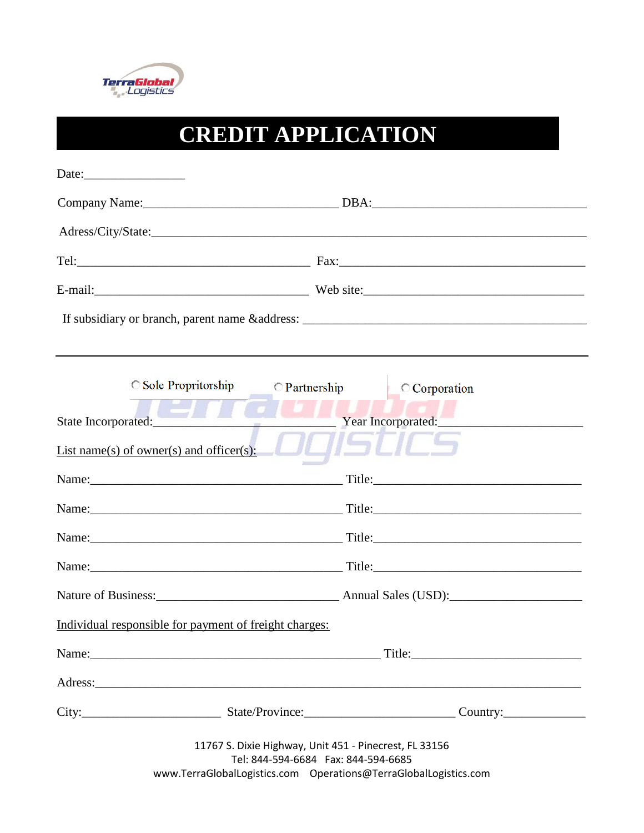

## **CREDIT APPLICATION**

| Date:                                                                                 |                                                                                                     |
|---------------------------------------------------------------------------------------|-----------------------------------------------------------------------------------------------------|
|                                                                                       | Company Name: 2008. [2010] DBA: 2010 [2010] DBA: 2010 [2010] DBA: 2010 [2010] DBA: 2010 [2010] DBA: |
|                                                                                       |                                                                                                     |
|                                                                                       |                                                                                                     |
|                                                                                       |                                                                                                     |
|                                                                                       |                                                                                                     |
| Sole Propritorship<br>State Incorporated:<br>List name(s) of owner(s) and officer(s): | $\bigcirc$ Partnership<br>$\circ$ Corporation<br>Year Incorporated:                                 |
|                                                                                       |                                                                                                     |
|                                                                                       |                                                                                                     |
|                                                                                       |                                                                                                     |
|                                                                                       |                                                                                                     |
|                                                                                       |                                                                                                     |
| Individual responsible for payment of freight charges:                                |                                                                                                     |
|                                                                                       |                                                                                                     |
|                                                                                       |                                                                                                     |
|                                                                                       | City: City: Current Country:                                                                        |
|                                                                                       | 11767 S. Dixie Highway, Unit 451 - Pinecrest, FL 33156<br>Tel: 844-594-6684  Fax: 844-594-6685      |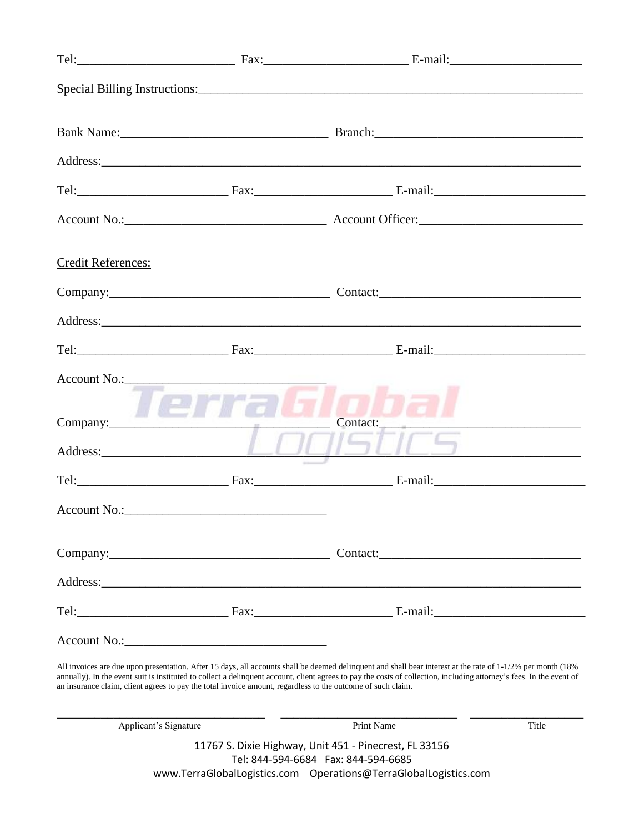|                                                                                                                                                                                                                                                                                                                                                                                                                                                    |                                       | Address: and the contract of the contract of the contract of the contract of the contract of the contract of the contract of the contract of the contract of the contract of the contract of the contract of the contract of t |  |
|----------------------------------------------------------------------------------------------------------------------------------------------------------------------------------------------------------------------------------------------------------------------------------------------------------------------------------------------------------------------------------------------------------------------------------------------------|---------------------------------------|--------------------------------------------------------------------------------------------------------------------------------------------------------------------------------------------------------------------------------|--|
|                                                                                                                                                                                                                                                                                                                                                                                                                                                    |                                       |                                                                                                                                                                                                                                |  |
|                                                                                                                                                                                                                                                                                                                                                                                                                                                    |                                       |                                                                                                                                                                                                                                |  |
| <b>Credit References:</b>                                                                                                                                                                                                                                                                                                                                                                                                                          |                                       |                                                                                                                                                                                                                                |  |
|                                                                                                                                                                                                                                                                                                                                                                                                                                                    |                                       |                                                                                                                                                                                                                                |  |
|                                                                                                                                                                                                                                                                                                                                                                                                                                                    |                                       |                                                                                                                                                                                                                                |  |
|                                                                                                                                                                                                                                                                                                                                                                                                                                                    |                                       |                                                                                                                                                                                                                                |  |
|                                                                                                                                                                                                                                                                                                                                                                                                                                                    | Account No.:<br>Terra Sob<br>Address: | Contact:<br>71SUCS  <br>the contract of the contract of the contract of the contract of the contract of                                                                                                                        |  |
|                                                                                                                                                                                                                                                                                                                                                                                                                                                    |                                       |                                                                                                                                                                                                                                |  |
|                                                                                                                                                                                                                                                                                                                                                                                                                                                    |                                       |                                                                                                                                                                                                                                |  |
|                                                                                                                                                                                                                                                                                                                                                                                                                                                    |                                       |                                                                                                                                                                                                                                |  |
|                                                                                                                                                                                                                                                                                                                                                                                                                                                    |                                       |                                                                                                                                                                                                                                |  |
|                                                                                                                                                                                                                                                                                                                                                                                                                                                    |                                       |                                                                                                                                                                                                                                |  |
|                                                                                                                                                                                                                                                                                                                                                                                                                                                    |                                       |                                                                                                                                                                                                                                |  |
| All invoices are due upon presentation. After 15 days, all accounts shall be deemed delinquent and shall bear interest at the rate of 1-1/2% per month (18%<br>annually). In the event suit is instituted to collect a delinquent account, client agrees to pay the costs of collection, including attorney's fees. In the event of<br>an insurance claim, client agrees to pay the total invoice amount, regardless to the outcome of such claim. |                                       |                                                                                                                                                                                                                                |  |

| Applicant's Signature                                  | Print Name | Title |  |
|--------------------------------------------------------|------------|-------|--|
| 11767 S. Dixie Highway, Unit 451 - Pinecrest, FL 33156 |            |       |  |
| Tel: 844-594-6684    Fax: 844-594-6685                 |            |       |  |
|                                                        |            |       |  |